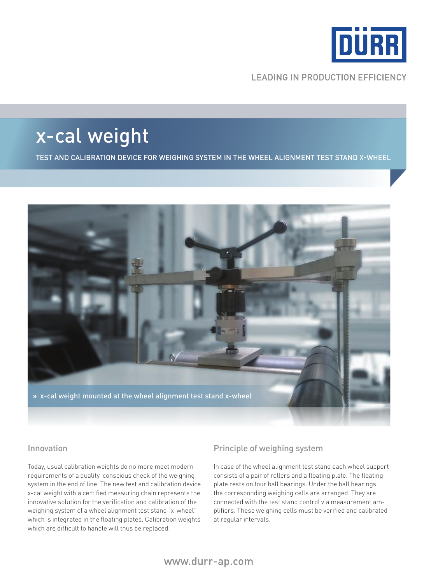

**LEADING IN PRODUCTION EFFICIENCY** 

## x-cal weight

Test and calibration device for weighing system in the wheel alignment test stand x-wheel



### Innovation

Today, usual calibration weights do no more meet modern requirements of a quality-conscious check of the weighing system in the end of line. The new test and calibration device x-cal weight with a certified measuring chain represents the innovative solution for the verification and calibration of the weighing system of a wheel alignment test stand "x-wheel" which is integrated in the floating plates. Calibration weights which are difficult to handle will thus be replaced.

### Principle of weighing system

In case of the wheel alignment test stand each wheel support consists of a pair of rollers and a floating plate. The floating plate rests on four ball bearings. Under the ball bearings the corresponding weighing cells are arranged. They are connected with the test stand control via measurement amplifiers. These weighing cells must be verified and calibrated at regular intervals.